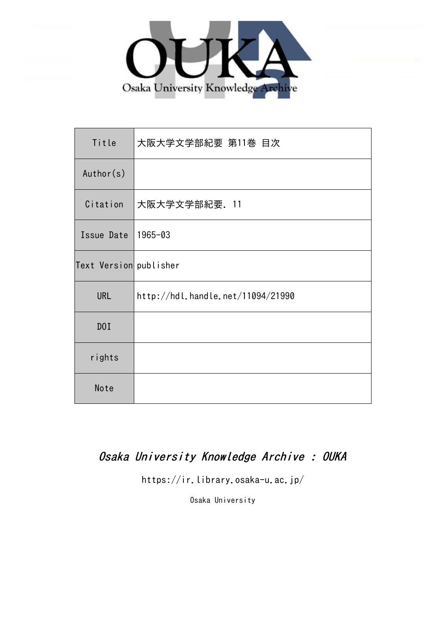

| Title                  | 大阪大学文学部紀要 第11巻 目次                 |
|------------------------|-----------------------------------|
| Author(s)              |                                   |
| Citation               | 大阪大学文学部紀要. 11                     |
| Issue Date             | 1965-03                           |
| Text Version publisher |                                   |
| <b>URL</b>             | http://hdl.handle.net/11094/21990 |
| DOI                    |                                   |
| rights                 |                                   |
| Note                   |                                   |

## Osaka University Knowledge Archive : OUKA

https://ir.library.osaka-u.ac.jp/

Osaka University